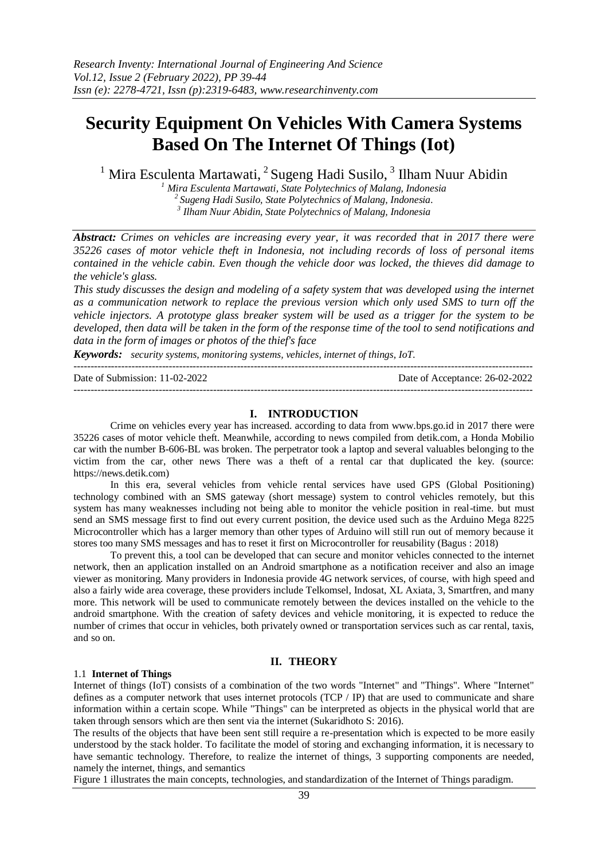## **Security Equipment On Vehicles With Camera Systems Based On The Internet Of Things (Iot)**

<sup>1</sup> Mira Esculenta Martawati, <sup>2</sup> Sugeng Hadi Susilo, <sup>3</sup> Ilham Nuur Abidin

*<sup>1</sup> Mira Esculenta Martawati, State Polytechnics of Malang, Indonesia*

*<sup>2</sup>Sugeng Hadi Susilo, State Polytechnics of Malang, Indonesia.*

*3 Ilham Nuur Abidin, State Polytechnics of Malang, Indonesia*

*Abstract: Crimes on vehicles are increasing every year, it was recorded that in 2017 there were 35226 cases of motor vehicle theft in Indonesia, not including records of loss of personal items contained in the vehicle cabin. Even though the vehicle door was locked, the thieves did damage to the vehicle's glass.*

*This study discusses the design and modeling of a safety system that was developed using the internet as a communication network to replace the previous version which only used SMS to turn off the vehicle injectors. A prototype glass breaker system will be used as a trigger for the system to be developed, then data will be taken in the form of the response time of the tool to send notifications and data in the form of images or photos of the thief's face*

*Keywords: security systems, monitoring systems, vehicles, internet of things, IoT.*

--------------------------------------------------------------------------------------------------------------------------------------- Date of Submission: 11-02-2022 Date of Acceptance: 26-02-2022 ---------------------------------------------------------------------------------------------------------------------------------------

#### **I. INTRODUCTION**

Crime on vehicles every year has increased. according to data from www.bps.go.id in 2017 there were 35226 cases of motor vehicle theft. Meanwhile, according to news compiled from detik.com, a Honda Mobilio car with the number B-606-BL was broken. The perpetrator took a laptop and several valuables belonging to the victim from the car, other news There was a theft of a rental car that duplicated the key. (source: https://news.detik.com)

In this era, several vehicles from vehicle rental services have used GPS (Global Positioning) technology combined with an SMS gateway (short message) system to control vehicles remotely, but this system has many weaknesses including not being able to monitor the vehicle position in real-time. but must send an SMS message first to find out every current position, the device used such as the Arduino Mega 8225 Microcontroller which has a larger memory than other types of Arduino will still run out of memory because it stores too many SMS messages and has to reset it first on Microcontroller for reusability (Bagus : 2018)

To prevent this, a tool can be developed that can secure and monitor vehicles connected to the internet network, then an application installed on an Android smartphone as a notification receiver and also an image viewer as monitoring. Many providers in Indonesia provide 4G network services, of course, with high speed and also a fairly wide area coverage, these providers include Telkomsel, Indosat, XL Axiata, 3, Smartfren, and many more. This network will be used to communicate remotely between the devices installed on the vehicle to the android smartphone. With the creation of safety devices and vehicle monitoring, it is expected to reduce the number of crimes that occur in vehicles, both privately owned or transportation services such as car rental, taxis, and so on.

#### **II. THEORY**

#### 1.1 **Internet of Things**

Internet of things (IoT) consists of a combination of the two words "Internet" and "Things". Where "Internet" defines as a computer network that uses internet protocols (TCP / IP) that are used to communicate and share information within a certain scope. While "Things" can be interpreted as objects in the physical world that are taken through sensors which are then sent via the internet (Sukaridhoto S: 2016).

The results of the objects that have been sent still require a re-presentation which is expected to be more easily understood by the stack holder. To facilitate the model of storing and exchanging information, it is necessary to have semantic technology. Therefore, to realize the internet of things, 3 supporting components are needed, namely the internet, things, and semantics

Figure 1 illustrates the main concepts, technologies, and standardization of the Internet of Things paradigm.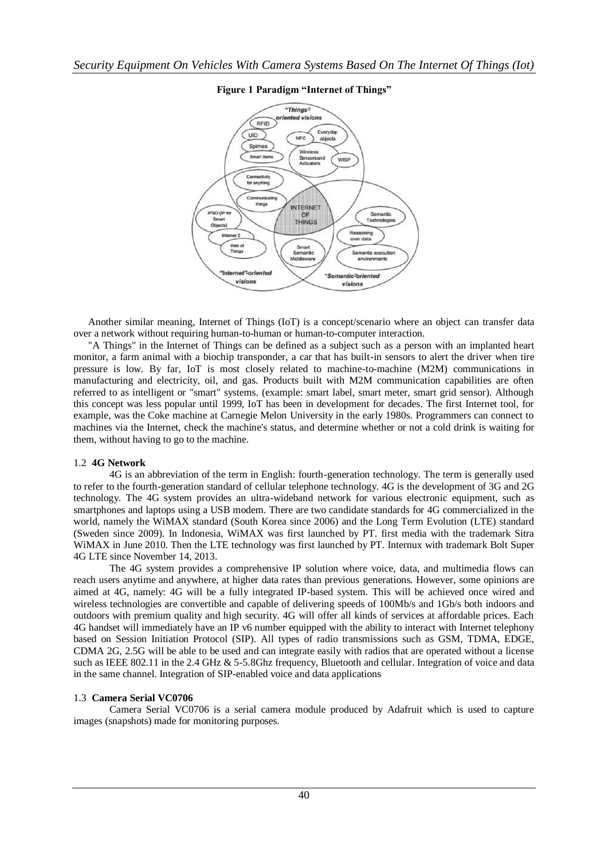

## **Figure 1 Paradigm "Internet of Things"**

Another similar meaning, Internet of Things (IoT) is a concept/scenario where an object can transfer data over a network without requiring human-to-human or human-to-computer interaction.

"A Things" in the Internet of Things can be defined as a subject such as a person with an implanted heart monitor, a farm animal with a biochip transponder, a car that has built-in sensors to alert the driver when tire pressure is low. By far, IoT is most closely related to machine-to-machine (M2M) communications in manufacturing and electricity, oil, and gas. Products built with M2M communication capabilities are often referred to as intelligent or "smart" systems. (example: smart label, smart meter, smart grid sensor). Although this concept was less popular until 1999, IoT has been in development for decades. The first Internet tool, for example, was the Coke machine at Carnegie Melon University in the early 1980s. Programmers can connect to machines via the Internet, check the machine's status, and determine whether or not a cold drink is waiting for them, without having to go to the machine.

#### 1.2 **4G Network**

4G is an abbreviation of the term in English: fourth-generation technology. The term is generally used to refer to the fourth-generation standard of cellular telephone technology. 4G is the development of 3G and 2G technology. The 4G system provides an ultra-wideband network for various electronic equipment, such as smartphones and laptops using a USB modem. There are two candidate standards for 4G commercialized in the world, namely the WiMAX standard (South Korea since 2006) and the Long Term Evolution (LTE) standard (Sweden since 2009). In Indonesia, WiMAX was first launched by PT. first media with the trademark Sitra WiMAX in June 2010. Then the LTE technology was first launched by PT. Internux with trademark Bolt Super 4G LTE since November 14, 2013.

The 4G system provides a comprehensive IP solution where voice, data, and multimedia flows can reach users anytime and anywhere, at higher data rates than previous generations. However, some opinions are aimed at 4G, namely: 4G will be a fully integrated IP-based system. This will be achieved once wired and wireless technologies are convertible and capable of delivering speeds of 100Mb/s and 1Gb/s both indoors and outdoors with premium quality and high security. 4G will offer all kinds of services at affordable prices. Each 4G handset will immediately have an IP v6 number equipped with the ability to interact with Internet telephony based on Session Initiation Protocol (SIP). All types of radio transmissions such as GSM, TDMA, EDGE, CDMA 2G, 2.5G will be able to be used and can integrate easily with radios that are operated without a license such as IEEE 802.11 in the 2.4 GHz & 5-5.8Ghz frequency, Bluetooth and cellular. Integration of voice and data in the same channel. Integration of SIP-enabled voice and data applications

## 1.3 **Camera Serial VC0706**

Camera Serial VC0706 is a serial camera module produced by Adafruit which is used to capture images (snapshots) made for monitoring purposes.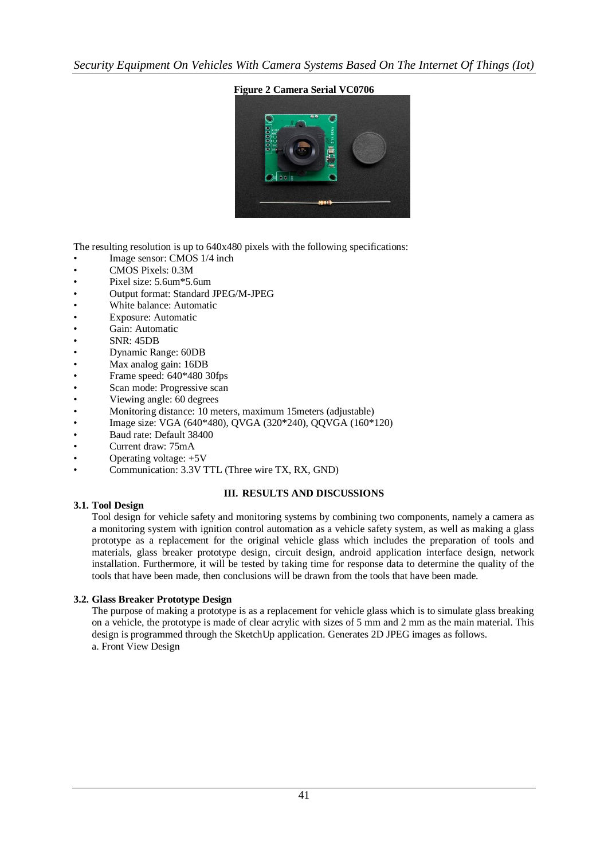*Security Equipment On Vehicles With Camera Systems Based On The Internet Of Things (Iot)*

## **Figure 2 Camera Serial VC0706**



The resulting resolution is up to 640x480 pixels with the following specifications:

- Image sensor: CMOS  $1/4$  inch
- CMOS Pixels: 0.3M
- Pixel size: 5.6um\*5.6um
- Output format: Standard JPEG/M-JPEG
- White balance: Automatic
- Exposure: Automatic
- Gain: Automatic
- SNR: 45DB
- Dynamic Range: 60DB
- Max analog gain: 16DB
- Frame speed: 640\*480 30fps
- Scan mode: Progressive scan
- Viewing angle: 60 degrees
- Monitoring distance: 10 meters, maximum 15meters (adjustable)
- Image size: VGA (640\*480), QVGA (320\*240), QQVGA (160\*120)
- Baud rate: Default 38400
- Current draw: 75mA
- Operating voltage: +5V
- Communication: 3.3V TTL (Three wire TX, RX, GND)

## **III. RESULTS AND DISCUSSIONS**

## **3.1. Tool Design**

Tool design for vehicle safety and monitoring systems by combining two components, namely a camera as a monitoring system with ignition control automation as a vehicle safety system, as well as making a glass prototype as a replacement for the original vehicle glass which includes the preparation of tools and materials, glass breaker prototype design, circuit design, android application interface design, network installation. Furthermore, it will be tested by taking time for response data to determine the quality of the tools that have been made, then conclusions will be drawn from the tools that have been made.

## **3.2. Glass Breaker Prototype Design**

The purpose of making a prototype is as a replacement for vehicle glass which is to simulate glass breaking on a vehicle, the prototype is made of clear acrylic with sizes of 5 mm and 2 mm as the main material. This design is programmed through the SketchUp application. Generates 2D JPEG images as follows. a. Front View Design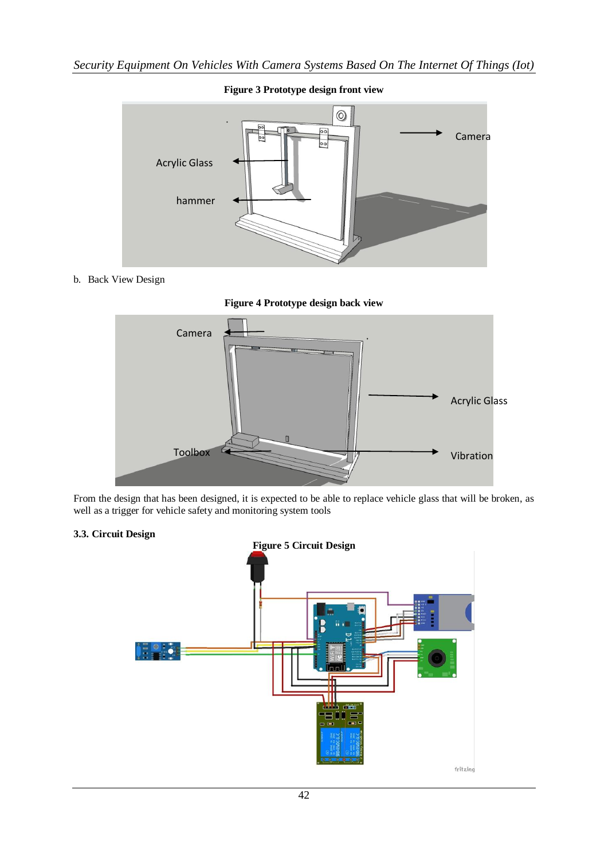

# b. Back View Design





From the design that has been designed, it is expected to be able to replace vehicle glass that will be broken, as well as a trigger for vehicle safety and monitoring system tools

## **3.3. Circuit Design**

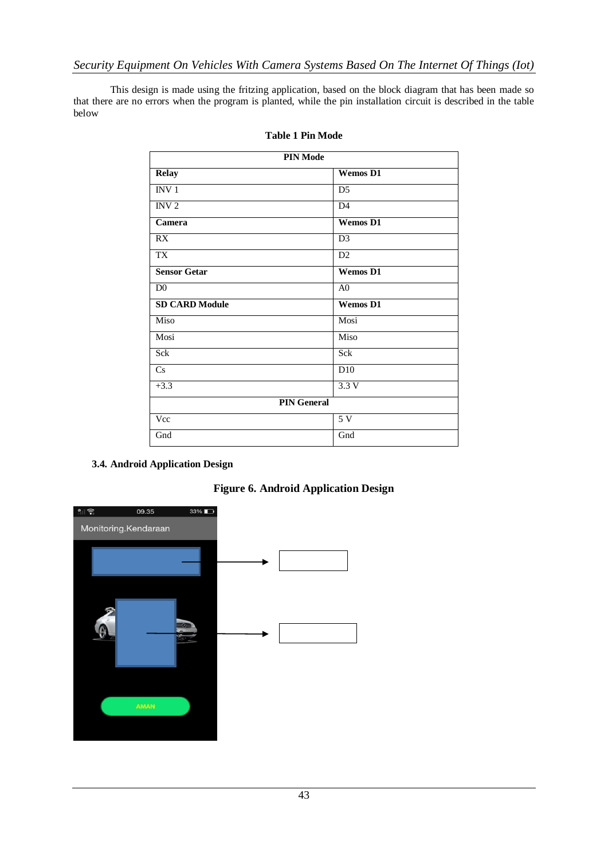This design is made using the fritzing application, based on the block diagram that has been made so that there are no errors when the program is planted, while the pin installation circuit is described in the table below

| <b>PIN Mode</b>       |                 |
|-----------------------|-----------------|
| <b>Relay</b>          | <b>Wemos D1</b> |
| INV <sub>1</sub>      | D <sub>5</sub>  |
| INV <sub>2</sub>      | D4              |
| Camera                | <b>Wemos D1</b> |
| RX                    | D <sub>3</sub>  |
| <b>TX</b>             | D2              |
| <b>Sensor Getar</b>   | <b>Wemos D1</b> |
| D <sub>0</sub>        | A <sub>0</sub>  |
| <b>SD CARD Module</b> | <b>Wemos D1</b> |
| Miso                  | Mosi            |
| Mosi                  | Miso            |
| Sck                   | Sck             |
| Cs                    | D <sub>10</sub> |
| $+3.3$                | 3.3V            |
| <b>PIN General</b>    |                 |
| Vcc                   | 5V              |
| Gnd                   | Gnd             |

## **Table 1 Pin Mode**

## **3.4. Android Application Design**